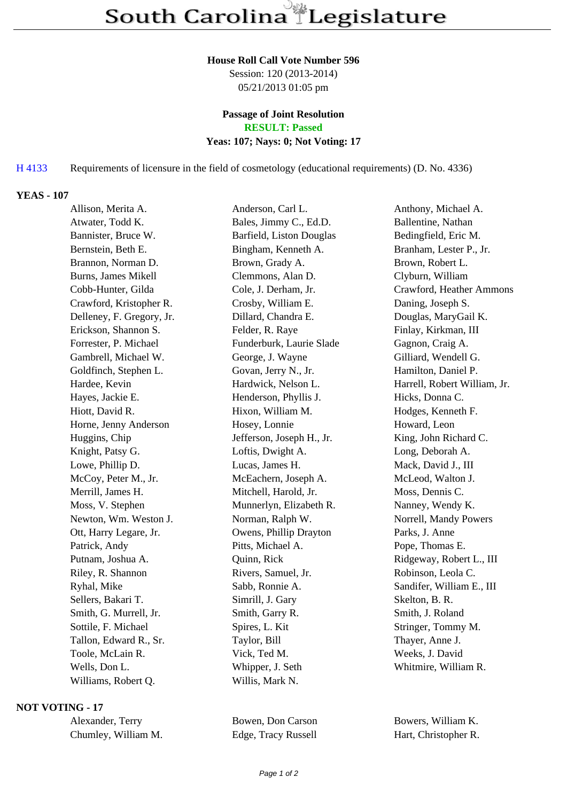#### **House Roll Call Vote Number 596**

Session: 120 (2013-2014) 05/21/2013 01:05 pm

### **Passage of Joint Resolution RESULT: Passed**

### **Yeas: 107; Nays: 0; Not Voting: 17**

# H 4133 Requirements of licensure in the field of cosmetology (educational requirements) (D. No. 4336)

### **YEAS - 107**

| Allison, Merita A.         | Anderson, Carl L.         | Anthony, Michael A.          |
|----------------------------|---------------------------|------------------------------|
| Atwater, Todd K.           | Bales, Jimmy C., Ed.D.    | Ballentine, Nathan           |
| Bannister, Bruce W.        | Barfield, Liston Douglas  | Bedingfield, Eric M.         |
| Bernstein, Beth E.         | Bingham, Kenneth A.       | Branham, Lester P., Jr.      |
| Brannon, Norman D.         | Brown, Grady A.           | Brown, Robert L.             |
| <b>Burns, James Mikell</b> | Clemmons, Alan D.         | Clyburn, William             |
| Cobb-Hunter, Gilda         | Cole, J. Derham, Jr.      | Crawford, Heather Ammons     |
| Crawford, Kristopher R.    | Crosby, William E.        | Daning, Joseph S.            |
| Delleney, F. Gregory, Jr.  | Dillard, Chandra E.       | Douglas, MaryGail K.         |
| Erickson, Shannon S.       | Felder, R. Raye           | Finlay, Kirkman, III         |
| Forrester, P. Michael      | Funderburk, Laurie Slade  | Gagnon, Craig A.             |
| Gambrell, Michael W.       | George, J. Wayne          | Gilliard, Wendell G.         |
| Goldfinch, Stephen L.      | Govan, Jerry N., Jr.      | Hamilton, Daniel P.          |
| Hardee, Kevin              | Hardwick, Nelson L.       | Harrell, Robert William, Jr. |
| Hayes, Jackie E.           | Henderson, Phyllis J.     | Hicks, Donna C.              |
| Hiott, David R.            | Hixon, William M.         | Hodges, Kenneth F.           |
| Horne, Jenny Anderson      | Hosey, Lonnie             | Howard, Leon                 |
| Huggins, Chip              | Jefferson, Joseph H., Jr. | King, John Richard C.        |
| Knight, Patsy G.           | Loftis, Dwight A.         | Long, Deborah A.             |
| Lowe, Phillip D.           | Lucas, James H.           | Mack, David J., III          |
| McCoy, Peter M., Jr.       | McEachern, Joseph A.      | McLeod, Walton J.            |
| Merrill, James H.          | Mitchell, Harold, Jr.     | Moss, Dennis C.              |
| Moss, V. Stephen           | Munnerlyn, Elizabeth R.   | Nanney, Wendy K.             |
| Newton, Wm. Weston J.      | Norman, Ralph W.          | Norrell, Mandy Powers        |
| Ott, Harry Legare, Jr.     | Owens, Phillip Drayton    | Parks, J. Anne               |
| Patrick, Andy              | Pitts, Michael A.         | Pope, Thomas E.              |
| Putnam, Joshua A.          | Quinn, Rick               | Ridgeway, Robert L., III     |
| Riley, R. Shannon          | Rivers, Samuel, Jr.       | Robinson, Leola C.           |
| Ryhal, Mike                | Sabb, Ronnie A.           | Sandifer, William E., III    |
| Sellers, Bakari T.         | Simrill, J. Gary          | Skelton, B. R.               |
| Smith, G. Murrell, Jr.     | Smith, Garry R.           | Smith, J. Roland             |
| Sottile, F. Michael        | Spires, L. Kit            | Stringer, Tommy M.           |
| Tallon, Edward R., Sr.     | Taylor, Bill              | Thayer, Anne J.              |
| Toole, McLain R.           | Vick, Ted M.              | Weeks, J. David              |
| Wells, Don L.              | Whipper, J. Seth          | Whitmire, William R.         |
| Williams, Robert Q.        | Willis, Mark N.           |                              |
|                            |                           |                              |

# **NOT VOTING - 17**

| Alexander, Terry |                     |
|------------------|---------------------|
|                  | Chumley, William M. |

Edge, Tracy Russell Hart, Christopher R.

Bowen, Don Carson Bowers, William K.